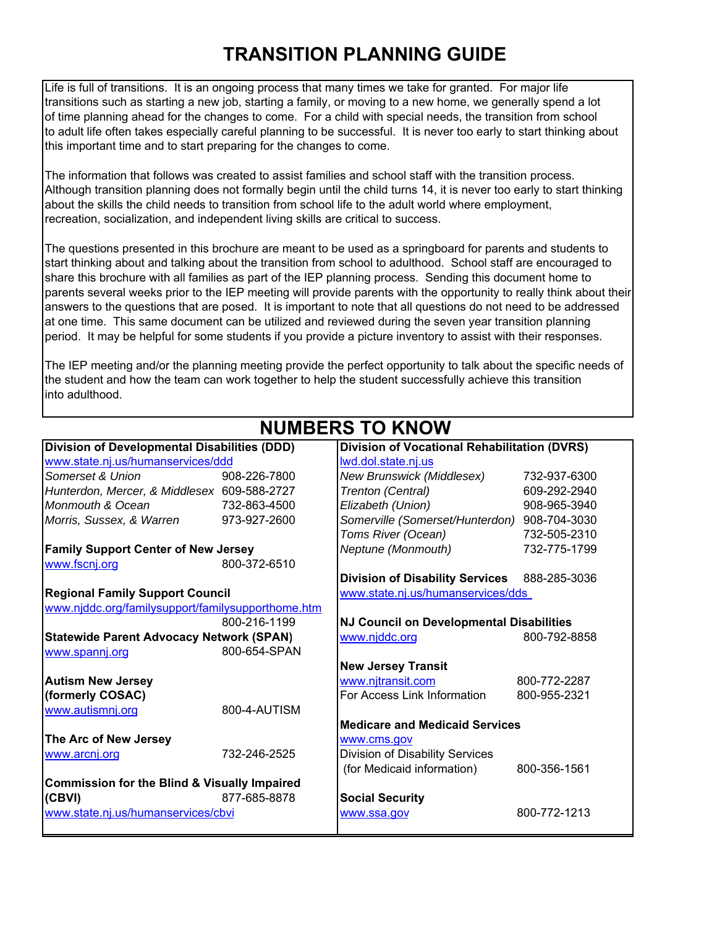## **TRANSITION PLANNING GUIDE**

Life is full of transitions. It is an ongoing process that many times we take for granted. For major life transitions such as starting a new job, starting a family, or moving to a new home, we generally spend a lot of time planning ahead for the changes to come. For a child with special needs, the transition from school to adult life often takes especially careful planning to be successful. It is never too early to start thinking about this important time and to start preparing for the changes to come.

The information that follows was created to assist families and school staff with the transition process. Although transition planning does not formally begin until the child turns 14, it is never too early to start thinking about the skills the child needs to transition from school life to the adult world where employment, recreation, socialization, and independent living skills are critical to success.

The questions presented in this brochure are meant to be used as a springboard for parents and students to start thinking about and talking about the transition from school to adulthood. School staff are encouraged to share this brochure with all families as part of the IEP planning process. Sending this document home to parents several weeks prior to the IEP meeting will provide parents with the opportunity to really think about their answers to the questions that are posed. It is important to note that all questions do not need to be addressed at one time. This same document can be utilized and reviewed during the seven year transition planning period. It may be helpful for some students if you provide a picture inventory to assist with their responses.

The IEP meeting and/or the planning meeting provide the perfect opportunity to talk about the specific needs of the student and how the team can work together to help the student successfully achieve this transition into adulthood.

 **NUMBERS TO KNOW**

|                                                         |              | וזטווווע טובעווויטוו                            |              |
|---------------------------------------------------------|--------------|-------------------------------------------------|--------------|
| <b>Division of Developmental Disabilities (DDD)</b>     |              | Division of Vocational Rehabilitation (DVRS)    |              |
| www.state.nj.us/humanservices/ddd                       |              | lwd.dol.state.nj.us                             |              |
| Somerset & Union                                        | 908-226-7800 | New Brunswick (Middlesex)                       | 732-937-6300 |
| Hunterdon, Mercer, & Middlesex 609-588-2727             |              | Trenton (Central)                               | 609-292-2940 |
| Monmouth & Ocean                                        | 732-863-4500 | Elizabeth (Union)                               | 908-965-3940 |
| Morris, Sussex, & Warren                                | 973-927-2600 | Somerville (Somerset/Hunterdon) 908-704-3030    |              |
|                                                         |              | Toms River (Ocean)                              | 732-505-2310 |
| <b>Family Support Center of New Jersey</b>              |              | Neptune (Monmouth)                              | 732-775-1799 |
| www.fscnj.org                                           | 800-372-6510 |                                                 |              |
|                                                         |              | <b>Division of Disability Services</b>          | 888-285-3036 |
| <b>Regional Family Support Council</b>                  |              | www.state.nj.us/humanservices/dds               |              |
| www.njddc.org/familysupport/familysupporthome.htm       |              |                                                 |              |
|                                                         | 800-216-1199 | <b>NJ Council on Developmental Disabilities</b> |              |
| <b>Statewide Parent Advocacy Network (SPAN)</b>         |              | www.njddc.org                                   | 800-792-8858 |
| www.spannj.org                                          | 800-654-SPAN |                                                 |              |
|                                                         |              | <b>New Jersey Transit</b>                       |              |
| <b>Autism New Jersey</b>                                |              | www.njtransit.com                               | 800-772-2287 |
| (formerly COSAC)                                        |              | For Access Link Information                     | 800-955-2321 |
| www.autismnj.org                                        | 800-4-AUTISM |                                                 |              |
|                                                         |              | <b>Medicare and Medicaid Services</b>           |              |
| The Arc of New Jersey                                   |              | www.cms.gov                                     |              |
| www.arcnj.org                                           | 732-246-2525 | Division of Disability Services                 |              |
|                                                         |              | (for Medicaid information)                      | 800-356-1561 |
| <b>Commission for the Blind &amp; Visually Impaired</b> |              |                                                 |              |
| (CBVI)                                                  | 877-685-8878 | <b>Social Security</b>                          |              |
| www.state.nj.us/humanservices/cbvi                      |              | www.ssa.gov                                     | 800-772-1213 |
|                                                         |              |                                                 |              |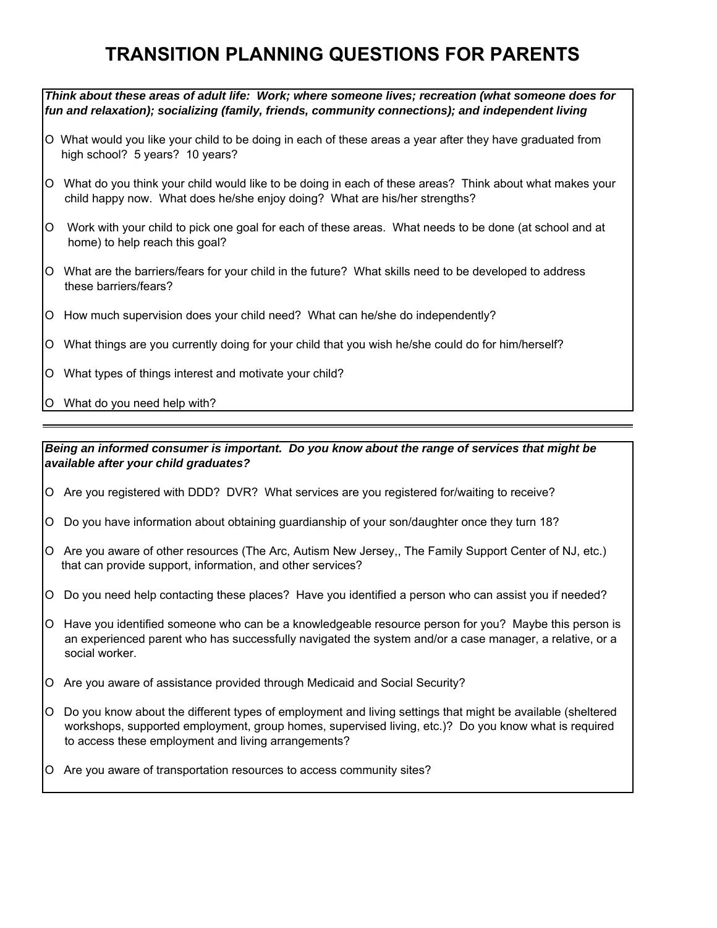## **TRANSITION PLANNING QUESTIONS FOR PARENTS**

*Think about these areas of adult life: Work; where someone lives; recreation (what someone does for fun and relaxation); socializing (family, friends, community connections); and independent living*

- Ο What would you like your child to be doing in each of these areas a year after they have graduated from high school? 5 years? 10 years?
- Ο What do you think your child would like to be doing in each of these areas? Think about what makes your child happy now. What does he/she enjoy doing? What are his/her strengths?
- Ο Work with your child to pick one goal for each of these areas. What needs to be done (at school and at home) to help reach this goal?
- Ο What are the barriers/fears for your child in the future? What skills need to be developed to address these barriers/fears?
- Ο How much supervision does your child need? What can he/she do independently?
- Ο What things are you currently doing for your child that you wish he/she could do for him/herself?
- Ο What types of things interest and motivate your child?
- Ο What do you need help with?

*Being an informed consumer is important. Do you know about the range of services that might be available after your child graduates?*

- Ο Are you registered with DDD? DVR? What services are you registered for/waiting to receive?
- Ο Do you have information about obtaining guardianship of your son/daughter once they turn 18?
- Ο Are you aware of other resources (The Arc, Autism New Jersey,, The Family Support Center of NJ, etc.) that can provide support, information, and other services?
- Ο Do you need help contacting these places? Have you identified a person who can assist you if needed?
- Ο Have you identified someone who can be a knowledgeable resource person for you? Maybe this person is an experienced parent who has successfully navigated the system and/or a case manager, a relative, or a social worker.
- Ο Are you aware of assistance provided through Medicaid and Social Security?
- Ο Do you know about the different types of employment and living settings that might be available (sheltered workshops, supported employment, group homes, supervised living, etc.)? Do you know what is required to access these employment and living arrangements?
- Ο Are you aware of transportation resources to access community sites?